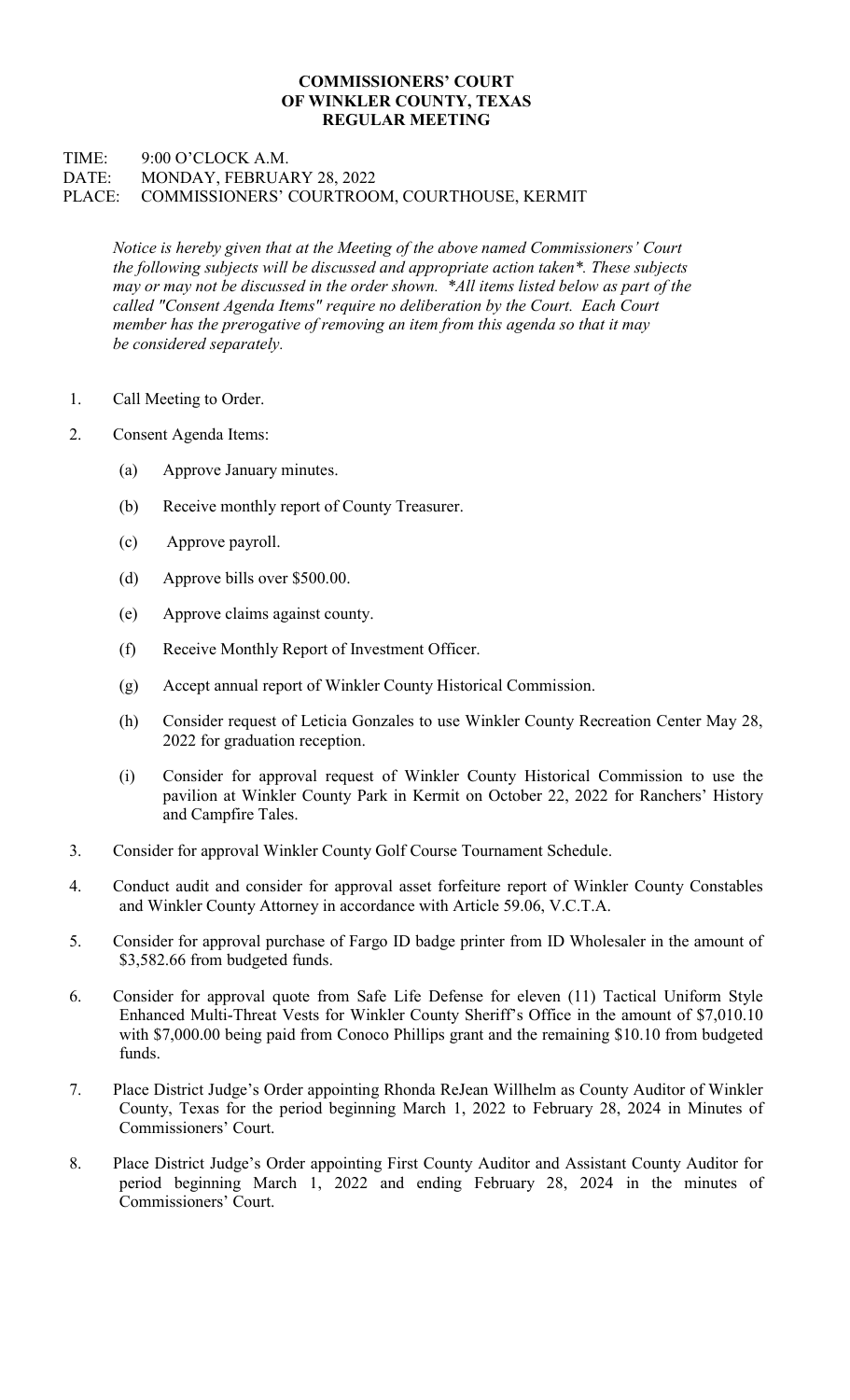## COMMISSIONERS' COURT OF WINKLER COUNTY, TEXAS REGULAR MEETING

## TIME: 9:00 O'CLOCK A.M. DATE: MONDAY, FEBRUARY 28, 2022 PLACE: COMMISSIONERS' COURTROOM, COURTHOUSE, KERMIT

Notice is hereby given that at the Meeting of the above named Commissioners' Court the following subjects will be discussed and appropriate action taken\*. These subjects may or may not be discussed in the order shown. \*All items listed below as part of the called "Consent Agenda Items" require no deliberation by the Court. Each Court member has the prerogative of removing an item from this agenda so that it may be considered separately.

- 1. Call Meeting to Order.
- 2. Consent Agenda Items:
	- (a) Approve January minutes.
	- (b) Receive monthly report of County Treasurer.
	- (c) Approve payroll.
	- (d) Approve bills over \$500.00.
	- (e) Approve claims against county.
	- (f) Receive Monthly Report of Investment Officer.
	- (g) Accept annual report of Winkler County Historical Commission.
	- (h) Consider request of Leticia Gonzales to use Winkler County Recreation Center May 28, 2022 for graduation reception.
	- (i) Consider for approval request of Winkler County Historical Commission to use the pavilion at Winkler County Park in Kermit on October 22, 2022 for Ranchers' History and Campfire Tales.
- 3. Consider for approval Winkler County Golf Course Tournament Schedule.
- 4. Conduct audit and consider for approval asset forfeiture report of Winkler County Constables and Winkler County Attorney in accordance with Article 59.06, V.C.T.A.
- 5. Consider for approval purchase of Fargo ID badge printer from ID Wholesaler in the amount of \$3,582.66 from budgeted funds.
- 6. Consider for approval quote from Safe Life Defense for eleven (11) Tactical Uniform Style Enhanced Multi-Threat Vests for Winkler County Sheriff's Office in the amount of \$7,010.10 with \$7,000.00 being paid from Conoco Phillips grant and the remaining \$10.10 from budgeted funds.
- 7. Place District Judge's Order appointing Rhonda ReJean Willhelm as County Auditor of Winkler County, Texas for the period beginning March 1, 2022 to February 28, 2024 in Minutes of Commissioners' Court.
- 8. Place District Judge's Order appointing First County Auditor and Assistant County Auditor for period beginning March 1, 2022 and ending February 28, 2024 in the minutes of Commissioners' Court.